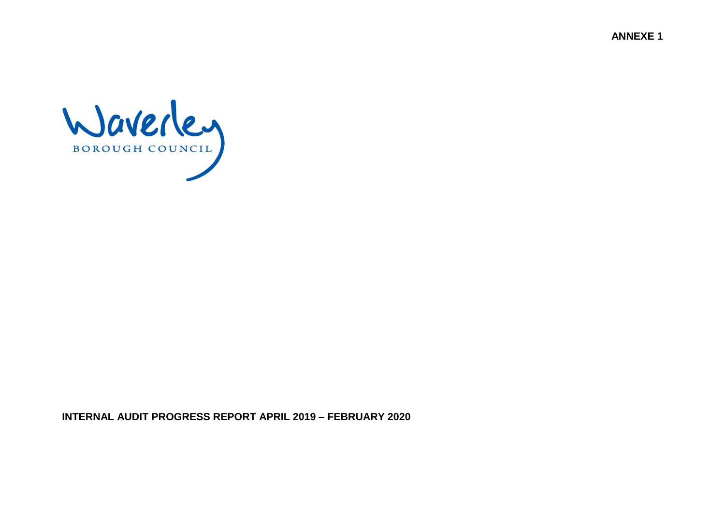**ANNEXE 1**



**INTERNAL AUDIT PROGRESS REPORT APRIL 2019 – FEBRUARY 2020**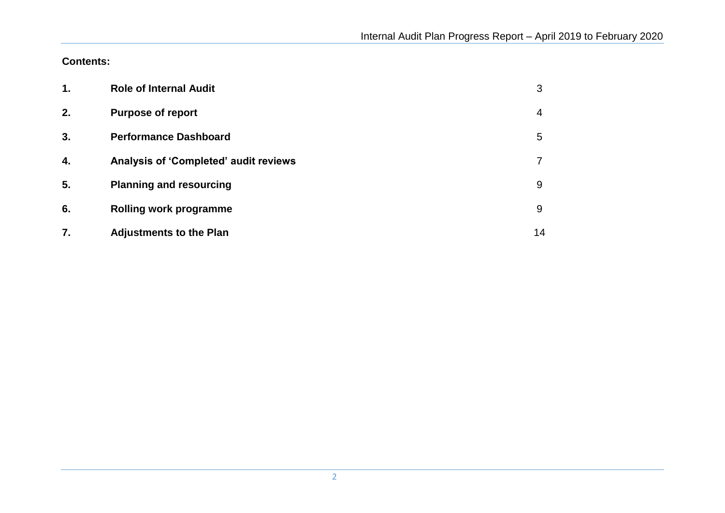**Contents:**

| $\mathbf 1$ . | <b>Role of Internal Audit</b>         | 3  |
|---------------|---------------------------------------|----|
| 2.            | <b>Purpose of report</b>              | 4  |
| 3.            | <b>Performance Dashboard</b>          | 5  |
| 4.            | Analysis of 'Completed' audit reviews |    |
| 5.            | <b>Planning and resourcing</b>        | 9  |
| 6.            | <b>Rolling work programme</b>         | 9  |
| 7.            | <b>Adjustments to the Plan</b>        | 14 |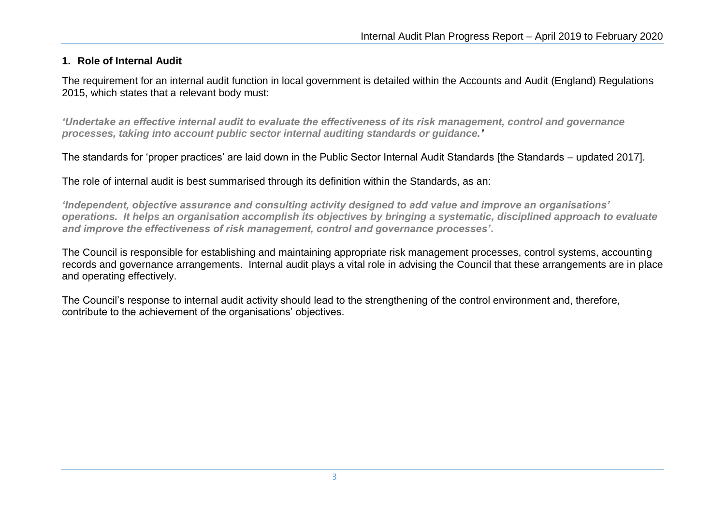### **1. Role of Internal Audit**

The requirement for an internal audit function in local government is detailed within the Accounts and Audit (England) Regulations 2015, which states that a relevant body must:

*'Undertake an effective internal audit to evaluate the effectiveness of its risk management, control and governance processes, taking into account public sector internal auditing standards or guidance.'* 

The standards for 'proper practices' are laid down in the Public Sector Internal Audit Standards [the Standards – updated 2017].

The role of internal audit is best summarised through its definition within the Standards, as an:

*'Independent, objective assurance and consulting activity designed to add value and improve an organisations' operations. It helps an organisation accomplish its objectives by bringing a systematic, disciplined approach to evaluate and improve the effectiveness of risk management, control and governance processes'***.** 

The Council is responsible for establishing and maintaining appropriate risk management processes, control systems, accounting records and governance arrangements. Internal audit plays a vital role in advising the Council that these arrangements are in place and operating effectively.

The Council's response to internal audit activity should lead to the strengthening of the control environment and, therefore, contribute to the achievement of the organisations' objectives.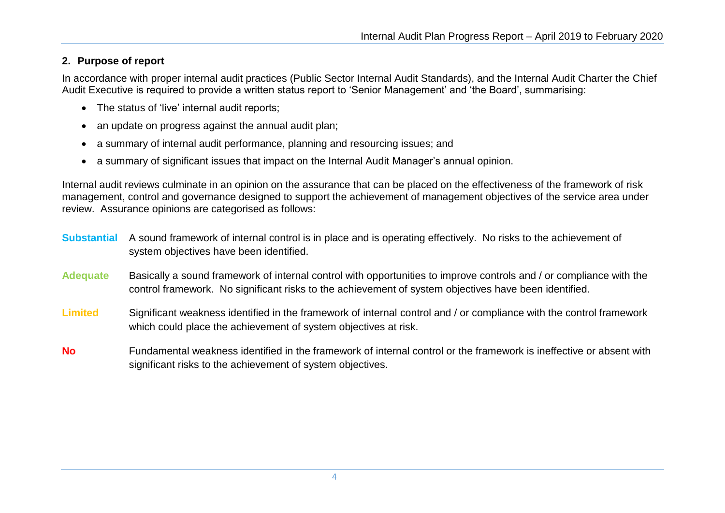### **2. Purpose of report**

In accordance with proper internal audit practices (Public Sector Internal Audit Standards), and the Internal Audit Charter the Chief Audit Executive is required to provide a written status report to 'Senior Management' and 'the Board', summarising:

- The status of 'live' internal audit reports;
- an update on progress against the annual audit plan;
- a summary of internal audit performance, planning and resourcing issues; and
- a summary of significant issues that impact on the Internal Audit Manager's annual opinion.

Internal audit reviews culminate in an opinion on the assurance that can be placed on the effectiveness of the framework of risk management, control and governance designed to support the achievement of management objectives of the service area under review. Assurance opinions are categorised as follows:

- **Substantial** A sound framework of internal control is in place and is operating effectively. No risks to the achievement of system objectives have been identified.
- **Adequate** Basically a sound framework of internal control with opportunities to improve controls and / or compliance with the control framework. No significant risks to the achievement of system objectives have been identified.
- **Limited** Significant weakness identified in the framework of internal control and / or compliance with the control framework which could place the achievement of system objectives at risk.
- **No** Fundamental weakness identified in the framework of internal control or the framework is ineffective or absent with significant risks to the achievement of system objectives.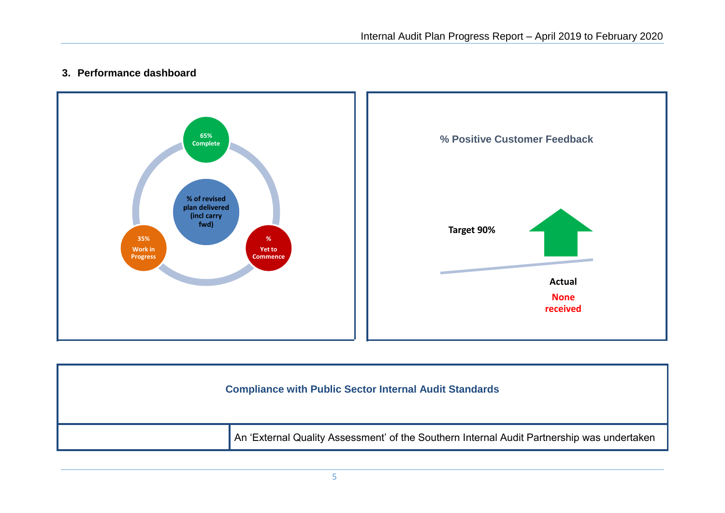## **3. Performance dashboard**



| <b>Compliance with Public Sector Internal Audit Standards</b>                              |
|--------------------------------------------------------------------------------------------|
| An 'External Quality Assessment' of the Southern Internal Audit Partnership was undertaken |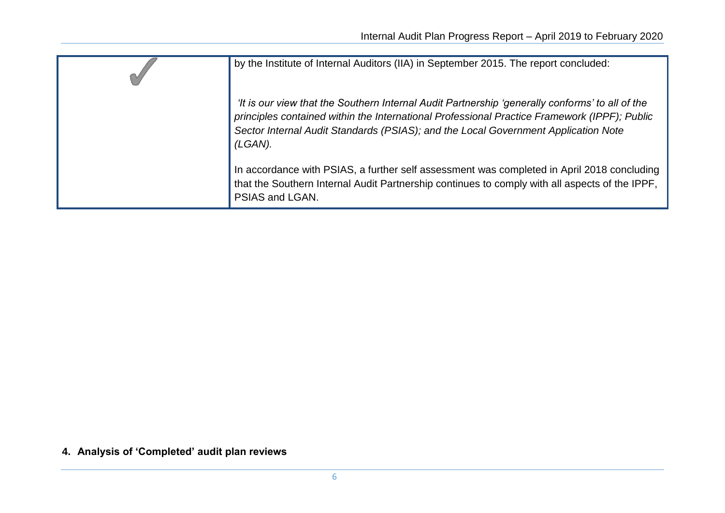| by the Institute of Internal Auditors (IIA) in September 2015. The report concluded:                                                                                                                                                                                                             |
|--------------------------------------------------------------------------------------------------------------------------------------------------------------------------------------------------------------------------------------------------------------------------------------------------|
| 'It is our view that the Southern Internal Audit Partnership 'generally conforms' to all of the<br>principles contained within the International Professional Practice Framework (IPPF); Public<br>Sector Internal Audit Standards (PSIAS); and the Local Government Application Note<br>(LGAN). |
| In accordance with PSIAS, a further self assessment was completed in April 2018 concluding<br>that the Southern Internal Audit Partnership continues to comply with all aspects of the IPPF,<br>PSIAS and LGAN.                                                                                  |

**4. Analysis of 'Completed' audit plan reviews**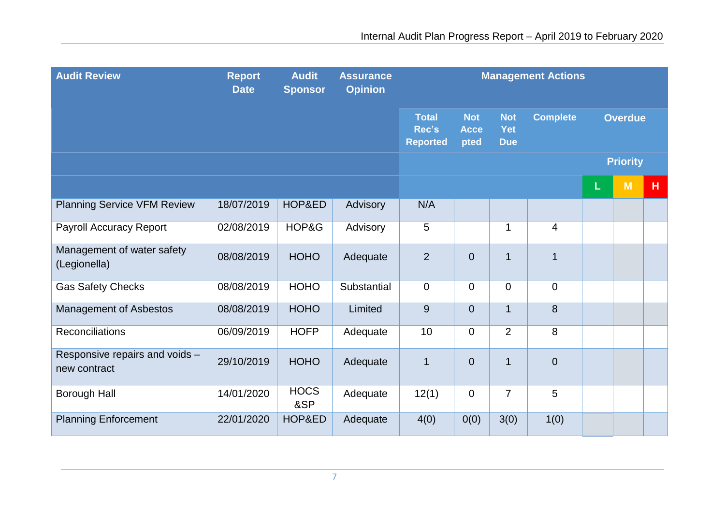| <b>Audit Review</b>                            | <b>Report</b><br><b>Date</b> | <b>Audit</b><br><b>Sponsor</b> | <b>Assurance</b><br><b>Opinion</b> | <b>Management Actions</b>                |                                   |                                 |                          |   |                 |   |
|------------------------------------------------|------------------------------|--------------------------------|------------------------------------|------------------------------------------|-----------------------------------|---------------------------------|--------------------------|---|-----------------|---|
|                                                |                              |                                |                                    | <b>Total</b><br>Rec's<br><b>Reported</b> | <b>Not</b><br><b>Acce</b><br>pted | <b>Not</b><br>Yet<br><b>Due</b> | <b>Complete</b>          |   | <b>Overdue</b>  |   |
|                                                |                              |                                |                                    |                                          |                                   |                                 |                          |   | <b>Priority</b> |   |
|                                                |                              |                                |                                    |                                          |                                   |                                 |                          | L | M               | H |
| <b>Planning Service VFM Review</b>             | 18/07/2019                   | HOP&ED                         | Advisory                           | N/A                                      |                                   |                                 |                          |   |                 |   |
| <b>Payroll Accuracy Report</b>                 | 02/08/2019                   | HOP&G                          | Advisory                           | 5                                        |                                   | $\mathbf{1}$                    | $\overline{\mathcal{A}}$ |   |                 |   |
| Management of water safety<br>(Legionella)     | 08/08/2019                   | <b>HOHO</b>                    | Adequate                           | $\overline{2}$                           | $\overline{0}$                    | $\mathbf 1$                     | $\mathbf{1}$             |   |                 |   |
| <b>Gas Safety Checks</b>                       | 08/08/2019                   | <b>HOHO</b>                    | Substantial                        | $\mathbf 0$                              | 0                                 | $\overline{0}$                  | $\mathbf 0$              |   |                 |   |
| Management of Asbestos                         | 08/08/2019                   | <b>HOHO</b>                    | Limited                            | 9                                        | $\overline{0}$                    | $\mathbf{1}$                    | 8                        |   |                 |   |
| Reconciliations                                | 06/09/2019                   | <b>HOFP</b>                    | Adequate                           | 10                                       | $\overline{0}$                    | $\overline{2}$                  | 8                        |   |                 |   |
| Responsive repairs and voids -<br>new contract | 29/10/2019                   | <b>HOHO</b>                    | Adequate                           | $\mathbf 1$                              | $\overline{0}$                    | $\mathbf{1}$                    | $\mathbf 0$              |   |                 |   |
| <b>Borough Hall</b>                            | 14/01/2020                   | <b>HOCS</b><br>&SP             | Adequate                           | 12(1)                                    | 0                                 | $\overline{7}$                  | 5                        |   |                 |   |
| <b>Planning Enforcement</b>                    | 22/01/2020                   | HOP&ED                         | Adequate                           | 4(0)                                     | 0(0)                              | 3(0)                            | 1(0)                     |   |                 |   |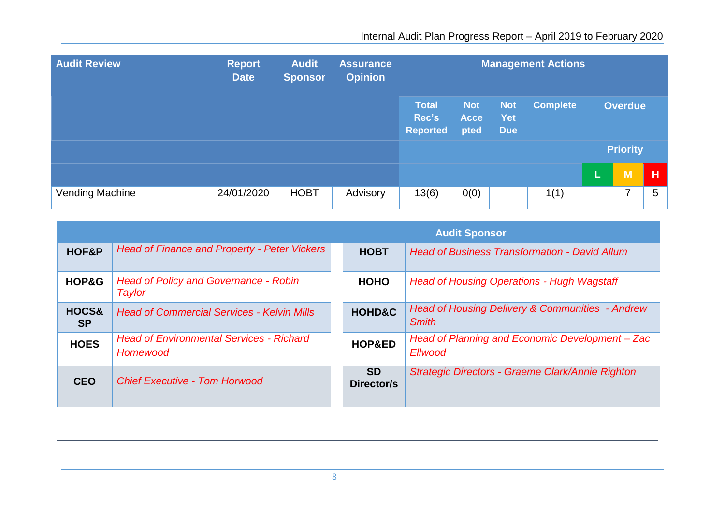| <b>Audit Review</b> | <b>Report</b><br><b>Date</b> | <b>Audit</b><br><b>Sponsor</b> | <b>Assurance</b><br><b>Opinion</b> | <b>Management Actions</b>                |                                   |                                        |                 |   |                 |   |
|---------------------|------------------------------|--------------------------------|------------------------------------|------------------------------------------|-----------------------------------|----------------------------------------|-----------------|---|-----------------|---|
|                     |                              |                                |                                    | <b>Total</b><br>Rec's<br><b>Reported</b> | <b>Not</b><br><b>Acce</b><br>pted | <b>Not</b><br><b>Yet</b><br><b>Due</b> | <b>Complete</b> |   | <b>Overdue</b>  |   |
|                     |                              |                                |                                    |                                          |                                   |                                        |                 |   | <b>Priority</b> |   |
|                     |                              |                                |                                    |                                          |                                   |                                        |                 | L | M               | н |
| Vending Machine     | 24/01/2020                   | <b>HOBT</b>                    | Advisory                           | 13(6)                                    | 0(0)                              |                                        | 1(1)            |   | 7               | 5 |

|                    |                                                             |                         | <b>Audit Sponsor</b>                                                       |
|--------------------|-------------------------------------------------------------|-------------------------|----------------------------------------------------------------------------|
| HOF&P              | <b>Head of Finance and Property - Peter Vickers</b>         | <b>HOBT</b>             | <b>Head of Business Transformation - David Allum</b>                       |
| HOP&G              | <b>Head of Policy and Governance - Robin</b><br>Taylor      | <b>HOHO</b>             | <b>Head of Housing Operations - Hugh Wagstaff</b>                          |
| HOCS&<br><b>SP</b> | <b>Head of Commercial Services - Kelvin Mills</b>           | <b>HOHD&amp;C</b>       | <b>Head of Housing Delivery &amp; Communities - Andrew</b><br><b>Smith</b> |
| <b>HOES</b>        | <b>Head of Environmental Services - Richard</b><br>Homewood | HOP&ED                  | Head of Planning and Economic Development - Zac<br><b>Ellwood</b>          |
| <b>CEO</b>         | <b>Chief Executive - Tom Horwood</b>                        | <b>SD</b><br>Director/s | Strategic Directors - Graeme Clark/Annie Righton                           |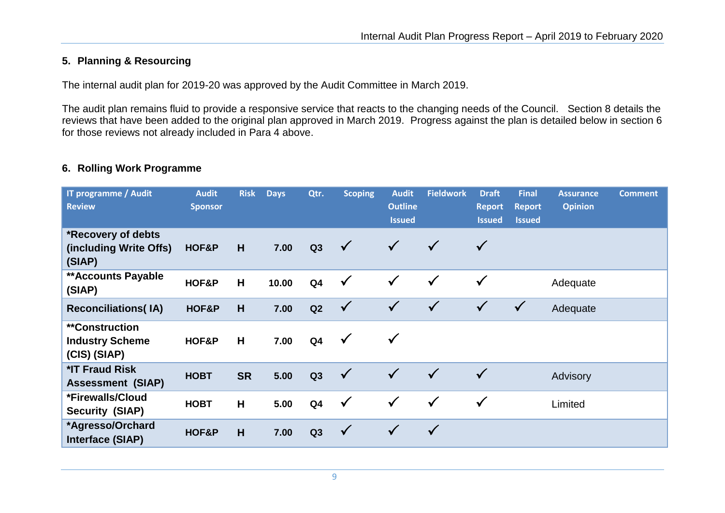## **5. Planning & Resourcing**

The internal audit plan for 2019-20 was approved by the Audit Committee in March 2019.

The audit plan remains fluid to provide a responsive service that reacts to the changing needs of the Council. Section 8 details the reviews that have been added to the original plan approved in March 2019. Progress against the plan is detailed below in section 6 for those reviews not already included in Para 4 above.

#### **6. Rolling Work Programme**

| IT programme / Audit<br><b>Review</b>                            | <b>Audit</b><br><b>Sponsor</b> | <b>Risk</b> | <b>Days</b> | Qtr.           | <b>Scoping</b> | <b>Audit</b><br><b>Outline</b><br><b>Issued</b> | <b>Fieldwork</b> | <b>Draft</b><br><b>Report</b><br><b>Issued</b> | <b>Final</b><br><b>Report</b><br><b>Issued</b> | <b>Assurance</b><br><b>Opinion</b> | <b>Comment</b> |
|------------------------------------------------------------------|--------------------------------|-------------|-------------|----------------|----------------|-------------------------------------------------|------------------|------------------------------------------------|------------------------------------------------|------------------------------------|----------------|
| *Recovery of debts<br>(including Write Offs)<br>(SIAP)           | HOF&P                          | H           | 7.00        | Q3             | $\checkmark$   | $\checkmark$                                    | $\checkmark$     | $\checkmark$                                   |                                                |                                    |                |
| <b>**Accounts Payable</b><br>(SIAP)                              | HOF&P                          | H           | 10.00       | Q <sub>4</sub> | $\checkmark$   | $\checkmark$                                    | $\checkmark$     | $\checkmark$                                   |                                                | Adequate                           |                |
| <b>Reconciliations(IA)</b>                                       | HOF&P                          | H           | 7.00        | Q2             | $\checkmark$   | $\checkmark$                                    | $\checkmark$     | $\sqrt{}$                                      | $\checkmark$                                   | Adequate                           |                |
| <i>**</i> Construction<br><b>Industry Scheme</b><br>(CIS) (SIAP) | HOF&P                          | H           | 7.00        | Q <sub>4</sub> | $\checkmark$   | $\checkmark$                                    |                  |                                                |                                                |                                    |                |
| *IT Fraud Risk<br><b>Assessment (SIAP)</b>                       | <b>HOBT</b>                    | <b>SR</b>   | 5.00        | Q3             | $\checkmark$   | $\checkmark$                                    | $\checkmark$     | $\checkmark$                                   |                                                | Advisory                           |                |
| *Firewalls/Cloud<br><b>Security (SIAP)</b>                       | <b>HOBT</b>                    | H           | 5.00        | Q <sub>4</sub> | $\checkmark$   | $\checkmark$                                    | $\checkmark$     | $\checkmark$                                   |                                                | Limited                            |                |
| *Agresso/Orchard<br>Interface (SIAP)                             | HOF&P                          | H           | 7.00        | Q3             | $\checkmark$   | $\checkmark$                                    | $\checkmark$     |                                                |                                                |                                    |                |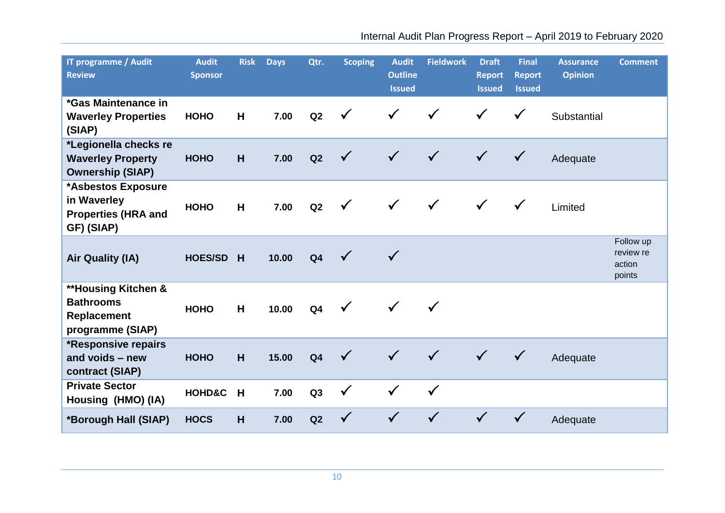| IT programme / Audit<br><b>Review</b>                                                 | <b>Audit</b><br><b>Sponsor</b> | <b>Risk</b> | <b>Days</b> | Qtr.           | <b>Scoping</b> | <b>Audit</b><br><b>Outline</b><br><b>Issued</b> | <b>Fieldwork</b> | <b>Draft</b><br><b>Report</b><br><b>Issued</b> | <b>Final</b><br><b>Report</b><br><b>Issued</b> | <b>Assurance</b><br><b>Opinion</b> | <b>Comment</b>                             |
|---------------------------------------------------------------------------------------|--------------------------------|-------------|-------------|----------------|----------------|-------------------------------------------------|------------------|------------------------------------------------|------------------------------------------------|------------------------------------|--------------------------------------------|
| *Gas Maintenance in<br><b>Waverley Properties</b><br>(SIAP)                           | <b>HOHO</b>                    | H           | 7.00        | Q2             | $\checkmark$   | $\checkmark$                                    |                  | $\checkmark$                                   | $\checkmark$                                   | Substantial                        |                                            |
| *Legionella checks re<br><b>Waverley Property</b><br><b>Ownership (SIAP)</b>          | <b>HOHO</b>                    | H           | 7.00        | Q2             | $\checkmark$   | $\checkmark$                                    | $\checkmark$     | $\checkmark$                                   | $\checkmark$                                   | Adequate                           |                                            |
| *Asbestos Exposure<br>in Waverley<br><b>Properties (HRA and</b><br>GF) (SIAP)         | <b>HOHO</b>                    | H           | 7.00        | Q2             | $\checkmark$   | $\checkmark$                                    | $\checkmark$     | $\checkmark$                                   | $\checkmark$                                   | Limited                            |                                            |
| <b>Air Quality (IA)</b>                                                               | <b>HOES/SD</b>                 | H           | 10.00       | Q <sub>4</sub> | $\checkmark$   | $\checkmark$                                    |                  |                                                |                                                |                                    | Follow up<br>review re<br>action<br>points |
| <b>**Housing Kitchen &amp;</b><br><b>Bathrooms</b><br>Replacement<br>programme (SIAP) | <b>HOHO</b>                    | H           | 10.00       | Q <sub>4</sub> | $\checkmark$   | $\checkmark$                                    |                  |                                                |                                                |                                    |                                            |
| *Responsive repairs<br>and voids - new<br>contract (SIAP)                             | <b>HOHO</b>                    | H           | 15.00       | Q <sub>4</sub> | $\checkmark$   | $\checkmark$                                    | $\checkmark$     | $\checkmark$                                   | $\checkmark$                                   | Adequate                           |                                            |
| <b>Private Sector</b><br>Housing (HMO) (IA)                                           | <b>HOHD&amp;C</b>              | H           | 7.00        | Q3             | $\checkmark$   | $\checkmark$                                    | $\checkmark$     |                                                |                                                |                                    |                                            |
| *Borough Hall (SIAP)                                                                  | <b>HOCS</b>                    | H           | 7.00        | Q2             |                |                                                 |                  |                                                |                                                | Adequate                           |                                            |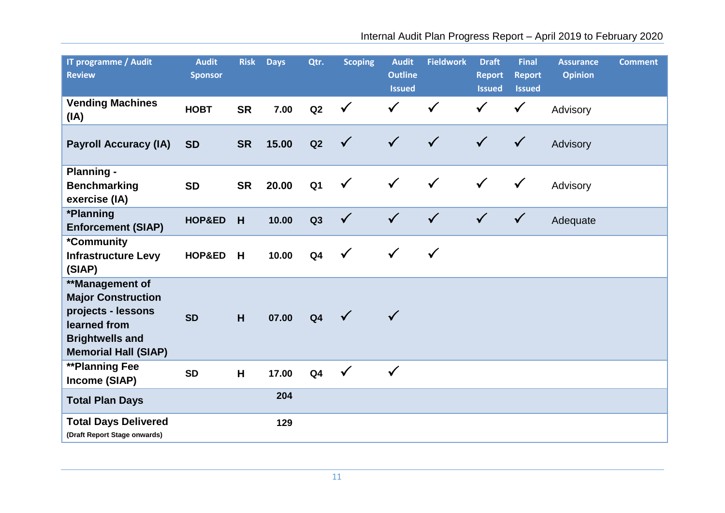| IT programme / Audit<br><b>Review</b>                                                                                                       | <b>Audit</b><br><b>Sponsor</b> | <b>Risk</b> | <b>Days</b> | Qtr.           | <b>Scoping</b> | <b>Audit</b><br><b>Outline</b><br><b>Issued</b> | <b>Fieldwork</b> | <b>Draft</b><br><b>Report</b><br><b>Issued</b> | <b>Final</b><br><b>Report</b><br><b>Issued</b> | <b>Assurance</b><br><b>Opinion</b> | <b>Comment</b> |
|---------------------------------------------------------------------------------------------------------------------------------------------|--------------------------------|-------------|-------------|----------------|----------------|-------------------------------------------------|------------------|------------------------------------------------|------------------------------------------------|------------------------------------|----------------|
| <b>Vending Machines</b><br>(IA)                                                                                                             | <b>HOBT</b>                    | <b>SR</b>   | 7.00        | Q2             | $\checkmark$   | $\checkmark$                                    | $\checkmark$     | $\checkmark$                                   | $\checkmark$                                   | Advisory                           |                |
| <b>Payroll Accuracy (IA)</b>                                                                                                                | <b>SD</b>                      | <b>SR</b>   | 15.00       | Q2             | $\checkmark$   | $\checkmark$                                    | $\checkmark$     | $\checkmark$                                   | $\checkmark$                                   | Advisory                           |                |
| <b>Planning -</b><br><b>Benchmarking</b><br>exercise (IA)                                                                                   | <b>SD</b>                      | <b>SR</b>   | 20.00       | Q <sub>1</sub> | $\checkmark$   | $\checkmark$                                    | $\checkmark$     | $\checkmark$                                   | $\checkmark$                                   | Advisory                           |                |
| *Planning<br><b>Enforcement (SIAP)</b>                                                                                                      | HOP&ED                         | H           | 10.00       | Q3             | $\checkmark$   | $\checkmark$                                    | $\checkmark$     | $\checkmark$                                   | $\checkmark$                                   | Adequate                           |                |
| *Community<br><b>Infrastructure Levy</b><br>(SIAP)                                                                                          | HOP&ED                         | H           | 10.00       | Q <sub>4</sub> | $\checkmark$   | $\checkmark$                                    | $\checkmark$     |                                                |                                                |                                    |                |
| **Management of<br><b>Major Construction</b><br>projects - lessons<br>learned from<br><b>Brightwells and</b><br><b>Memorial Hall (SIAP)</b> | <b>SD</b>                      | H           | 07.00       | Q <sub>4</sub> |                | $\checkmark$                                    |                  |                                                |                                                |                                    |                |
| <b>**Planning Fee</b><br>Income (SIAP)                                                                                                      | <b>SD</b>                      | H           | 17.00       | Q <sub>4</sub> | $\checkmark$   | $\checkmark$                                    |                  |                                                |                                                |                                    |                |
| <b>Total Plan Days</b>                                                                                                                      |                                |             | 204         |                |                |                                                 |                  |                                                |                                                |                                    |                |
| <b>Total Days Delivered</b><br>(Draft Report Stage onwards)                                                                                 |                                |             | 129         |                |                |                                                 |                  |                                                |                                                |                                    |                |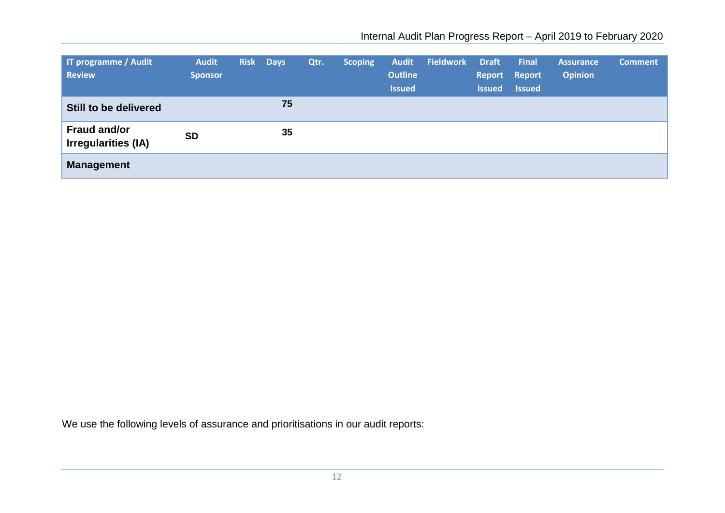| <b>Tr programme / Audit</b><br><b>Review</b> | <b>Audit</b><br><b>Sponsor</b> | <b>Risk</b> | <b>Days</b> | Qtr. | <b>Scoping</b> | <b>Audit</b><br><b>Outline</b><br><b>Issued</b> | <b>Fieldwork</b> | <b>Draft</b><br><b>Issued</b> | <b>Final</b><br>Report Report<br><b>Issued</b> | <b>Assurance</b><br><b>Opinion</b> | <b>Comment</b> |
|----------------------------------------------|--------------------------------|-------------|-------------|------|----------------|-------------------------------------------------|------------------|-------------------------------|------------------------------------------------|------------------------------------|----------------|
| Still to be delivered                        |                                |             | 75          |      |                |                                                 |                  |                               |                                                |                                    |                |
| <b>Fraud and/or</b><br>Irregularities (IA)   | <b>SD</b>                      |             | 35          |      |                |                                                 |                  |                               |                                                |                                    |                |
| <b>Management</b>                            |                                |             |             |      |                |                                                 |                  |                               |                                                |                                    |                |

We use the following levels of assurance and prioritisations in our audit reports: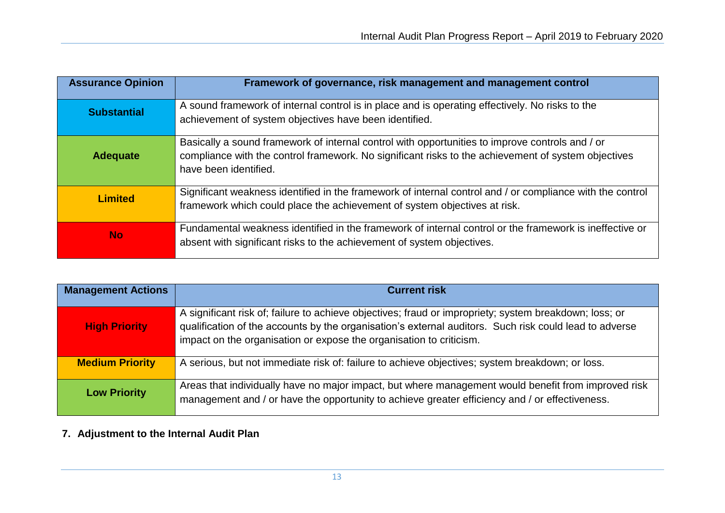| <b>Assurance Opinion</b> | Framework of governance, risk management and management control                                                                                                                                                                 |
|--------------------------|---------------------------------------------------------------------------------------------------------------------------------------------------------------------------------------------------------------------------------|
| <b>Substantial</b>       | A sound framework of internal control is in place and is operating effectively. No risks to the<br>achievement of system objectives have been identified.                                                                       |
| <b>Adequate</b>          | Basically a sound framework of internal control with opportunities to improve controls and / or<br>compliance with the control framework. No significant risks to the achievement of system objectives<br>have been identified. |
| <b>Limited</b>           | Significant weakness identified in the framework of internal control and / or compliance with the control<br>framework which could place the achievement of system objectives at risk.                                          |
| <b>No</b>                | Fundamental weakness identified in the framework of internal control or the framework is ineffective or<br>absent with significant risks to the achievement of system objectives.                                               |

| <b>Management Actions</b> | <b>Current risk</b>                                                                                                                                                                                                                                                                     |
|---------------------------|-----------------------------------------------------------------------------------------------------------------------------------------------------------------------------------------------------------------------------------------------------------------------------------------|
| <b>High Priority</b>      | A significant risk of; failure to achieve objectives; fraud or impropriety; system breakdown; loss; or<br>qualification of the accounts by the organisation's external auditors. Such risk could lead to adverse<br>impact on the organisation or expose the organisation to criticism. |
| <b>Medium Priority</b>    | A serious, but not immediate risk of: failure to achieve objectives; system breakdown; or loss.                                                                                                                                                                                         |
| <b>Low Priority</b>       | Areas that individually have no major impact, but where management would benefit from improved risk<br>management and / or have the opportunity to achieve greater efficiency and / or effectiveness.                                                                                   |

# **7. Adjustment to the Internal Audit Plan**